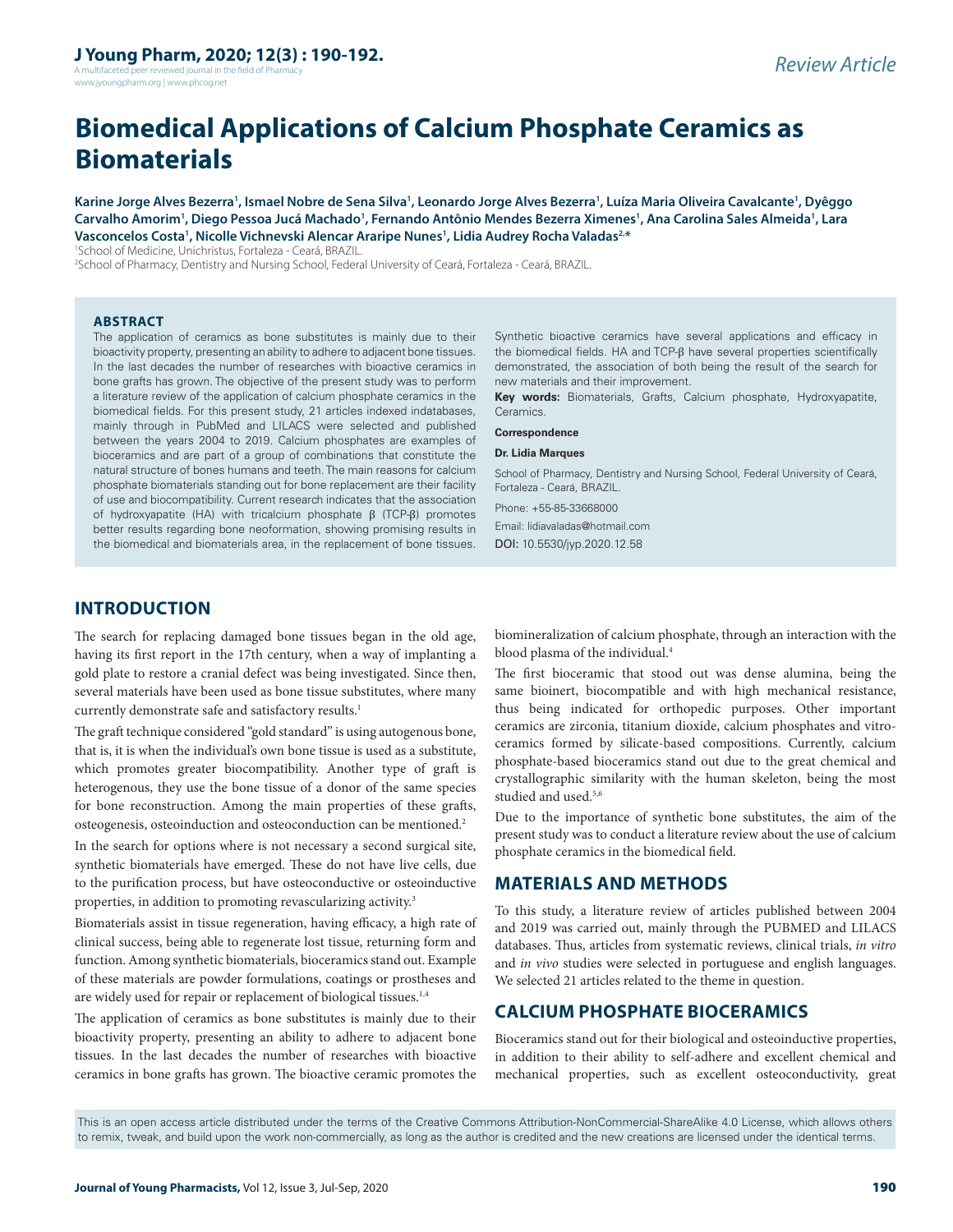A multifaceted peer reviewed journal in the field of Pharm www.jyoungpharm.org | www.phcog.net

# **Biomedical Applications of Calcium Phosphate Ceramics as Biomaterials**

**Karine Jorge Alves Bezerra1 , Ismael Nobre de Sena Silva1 , Leonardo Jorge Alves Bezerra1 , Luíza Maria Oliveira Cavalcante1 , Dyêggo Carvalho Amorim1 , Diego Pessoa Jucá Machado1 , Fernando Antônio Mendes Bezerra Ximenes1 , Ana Carolina Sales Almeida1 , Lara Vasconcelos Costa1 , Nicolle Vichnevski Alencar Araripe Nunes1 , Lidia Audrey Rocha Valadas2,\***

1 School of Medicine, Unichristus, Fortaleza - Ceará, BRAZIL.

2 School of Pharmacy, Dentistry and Nursing School, Federal University of Ceará, Fortaleza - Ceará, BRAZIL.

#### **ABSTRACT**

The application of ceramics as bone substitutes is mainly due to their bioactivity property, presenting an ability to adhere to adjacent bone tissues. In the last decades the number of researches with bioactive ceramics in bone grafts has grown. The objective of the present study was to perform a literature review of the application of calcium phosphate ceramics in the biomedical fields. For this present study, 21 articles indexed indatabases, mainly through in PubMed and LILACS were selected and published between the years 2004 to 2019. Calcium phosphates are examples of bioceramics and are part of a group of combinations that constitute the natural structure of bones humans and teeth. The main reasons for calcium phosphate biomaterials standing out for bone replacement are their facility of use and biocompatibility. Current research indicates that the association of hydroxyapatite (HA) with tricalcium phosphate β (TCP-β) promotes better results regarding bone neoformation, showing promising results in the biomedical and biomaterials area, in the replacement of bone tissues.

Synthetic bioactive ceramics have several applications and efficacy in the biomedical fields. HA and TCP-β have several properties scientifically demonstrated, the association of both being the result of the search for new materials and their improvement.

**Key words:** Biomaterials, Grafts, Calcium phosphate, Hydroxyapatite, Ceramics.

#### **Correspondence**

#### **Dr. Lidia Marques**

School of Pharmacy, Dentistry and Nursing School, Federal University of Ceará, Fortaleza - Ceará, BRAZIL.

Phone: +55-85-33668000 Email: lidiavaladas@hotmail.com DOI: 10.5530/jyp.2020.12.58

#### **INTRODUCTION**

The search for replacing damaged bone tissues began in the old age, having its first report in the 17th century, when a way of implanting a gold plate to restore a cranial defect was being investigated. Since then, several materials have been used as bone tissue substitutes, where many currently demonstrate safe and satisfactory results.<sup>1</sup>

The graft technique considered "gold standard" is using autogenous bone, that is, it is when the individual's own bone tissue is used as a substitute, which promotes greater biocompatibility. Another type of graft is heterogenous, they use the bone tissue of a donor of the same species for bone reconstruction. Among the main properties of these grafts, osteogenesis, osteoinduction and osteoconduction can be mentioned.2

In the search for options where is not necessary a second surgical site, synthetic biomaterials have emerged. These do not have live cells, due to the purification process, but have osteoconductive or osteoinductive properties, in addition to promoting revascularizing activity.<sup>3</sup>

Biomaterials assist in tissue regeneration, having efficacy, a high rate of clinical success, being able to regenerate lost tissue, returning form and function. Among synthetic biomaterials, bioceramics stand out. Example of these materials are powder formulations, coatings or prostheses and are widely used for repair or replacement of biological tissues.<sup>1,4</sup>

The application of ceramics as bone substitutes is mainly due to their bioactivity property, presenting an ability to adhere to adjacent bone tissues. In the last decades the number of researches with bioactive ceramics in bone grafts has grown. The bioactive ceramic promotes the

biomineralization of calcium phosphate, through an interaction with the blood plasma of the individual.<sup>4</sup>

The first bioceramic that stood out was dense alumina, being the same bioinert, biocompatible and with high mechanical resistance, thus being indicated for orthopedic purposes. Other important ceramics are zirconia, titanium dioxide, calcium phosphates and vitroceramics formed by silicate-based compositions. Currently, calcium phosphate-based bioceramics stand out due to the great chemical and crystallographic similarity with the human skeleton, being the most studied and used.<sup>5,6</sup>

Due to the importance of synthetic bone substitutes, the aim of the present study was to conduct a literature review about the use of calcium phosphate ceramics in the biomedical field.

#### **MATERIALS AND METHODS**

To this study, a literature review of articles published between 2004 and 2019 was carried out, mainly through the PUBMED and LILACS databases. Thus, articles from systematic reviews, clinical trials, *in vitro* and *in vivo* studies were selected in portuguese and english languages. We selected 21 articles related to the theme in question.

## **CALCIUM PHOSPHATE BIOCERAMICS**

Bioceramics stand out for their biological and osteoinductive properties, in addition to their ability to self-adhere and excellent chemical and mechanical properties, such as excellent osteoconductivity, great

This is an open access article distributed under the terms of the Creative Commons Attribution-NonCommercial-ShareAlike 4.0 License, which allows others to remix, tweak, and build upon the work non-commercially, as long as the author is credited and the new creations are licensed under the identical terms.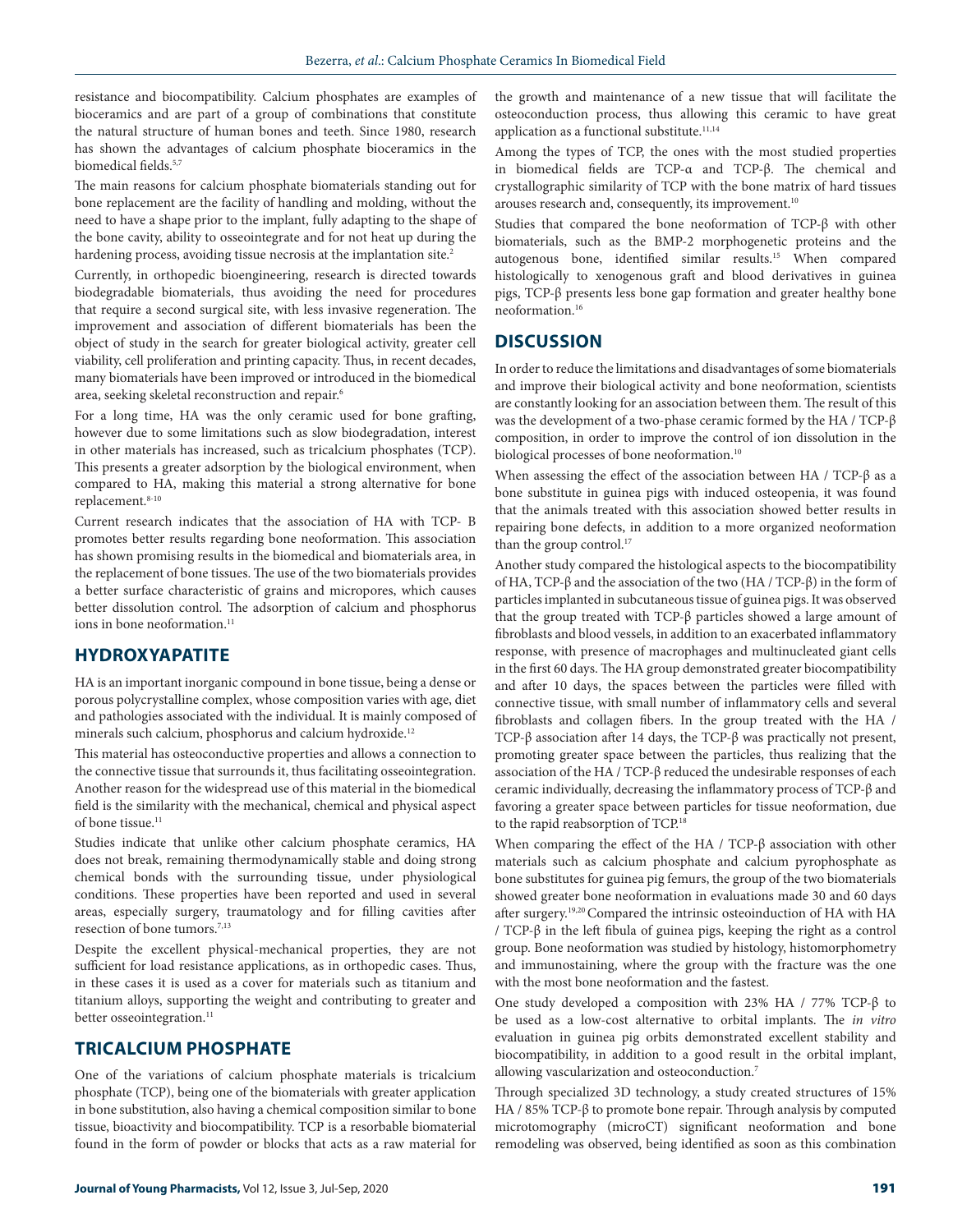resistance and biocompatibility. Calcium phosphates are examples of bioceramics and are part of a group of combinations that constitute the natural structure of human bones and teeth. Since 1980, research has shown the advantages of calcium phosphate bioceramics in the biomedical fields.<sup>5,7</sup>

The main reasons for calcium phosphate biomaterials standing out for bone replacement are the facility of handling and molding, without the need to have a shape prior to the implant, fully adapting to the shape of the bone cavity, ability to osseointegrate and for not heat up during the hardening process, avoiding tissue necrosis at the implantation site.<sup>2</sup>

Currently, in orthopedic bioengineering, research is directed towards biodegradable biomaterials, thus avoiding the need for procedures that require a second surgical site, with less invasive regeneration. The improvement and association of different biomaterials has been the object of study in the search for greater biological activity, greater cell viability, cell proliferation and printing capacity. Thus, in recent decades, many biomaterials have been improved or introduced in the biomedical area, seeking skeletal reconstruction and repair.6

For a long time, HA was the only ceramic used for bone grafting, however due to some limitations such as slow biodegradation, interest in other materials has increased, such as tricalcium phosphates (TCP). This presents a greater adsorption by the biological environment, when compared to HA, making this material a strong alternative for bone replacement.8-10

Current research indicates that the association of HA with TCP- Β promotes better results regarding bone neoformation. This association has shown promising results in the biomedical and biomaterials area, in the replacement of bone tissues. The use of the two biomaterials provides a better surface characteristic of grains and micropores, which causes better dissolution control. The adsorption of calcium and phosphorus ions in bone neoformation.<sup>11</sup>

#### **HYDROXYAPATITE**

HA is an important inorganic compound in bone tissue, being a dense or porous polycrystalline complex, whose composition varies with age, diet and pathologies associated with the individual. It is mainly composed of minerals such calcium, phosphorus and calcium hydroxide.<sup>12</sup>

This material has osteoconductive properties and allows a connection to the connective tissue that surrounds it, thus facilitating osseointegration. Another reason for the widespread use of this material in the biomedical field is the similarity with the mechanical, chemical and physical aspect of bone tissue.11

Studies indicate that unlike other calcium phosphate ceramics, HA does not break, remaining thermodynamically stable and doing strong chemical bonds with the surrounding tissue, under physiological conditions. These properties have been reported and used in several areas, especially surgery, traumatology and for filling cavities after resection of bone tumors.<sup>7,13</sup>

Despite the excellent physical-mechanical properties, they are not sufficient for load resistance applications, as in orthopedic cases. Thus, in these cases it is used as a cover for materials such as titanium and titanium alloys, supporting the weight and contributing to greater and better osseointegration.<sup>11</sup>

#### **TRICALCIUM PHOSPHATE**

One of the variations of calcium phosphate materials is tricalcium phosphate (TCP), being one of the biomaterials with greater application in bone substitution, also having a chemical composition similar to bone tissue, bioactivity and biocompatibility. TCP is a resorbable biomaterial found in the form of powder or blocks that acts as a raw material for

the growth and maintenance of a new tissue that will facilitate the osteoconduction process, thus allowing this ceramic to have great application as a functional substitute.<sup>11,14</sup>

Among the types of TCP, the ones with the most studied properties in biomedical fields are TCP-α and TCP-β. The chemical and crystallographic similarity of TCP with the bone matrix of hard tissues arouses research and, consequently, its improvement.<sup>10</sup>

Studies that compared the bone neoformation of TCP-β with other biomaterials, such as the BMP-2 morphogenetic proteins and the autogenous bone, identified similar results.15 When compared histologically to xenogenous graft and blood derivatives in guinea pigs, TCP-β presents less bone gap formation and greater healthy bone neoformation.16

## **DISCUSSION**

In order to reduce the limitations and disadvantages of some biomaterials and improve their biological activity and bone neoformation, scientists are constantly looking for an association between them. The result of this was the development of a two-phase ceramic formed by the HA / TCP-β composition, in order to improve the control of ion dissolution in the biological processes of bone neoformation.<sup>10</sup>

When assessing the effect of the association between HA / TCP- $\beta$  as a bone substitute in guinea pigs with induced osteopenia, it was found that the animals treated with this association showed better results in repairing bone defects, in addition to a more organized neoformation than the group control.<sup>17</sup>

Another study compared the histological aspects to the biocompatibility of HA, TCP-β and the association of the two (HA / TCP-β) in the form of particles implanted in subcutaneous tissue of guinea pigs. It was observed that the group treated with TCP-β particles showed a large amount of fibroblasts and blood vessels, in addition to an exacerbated inflammatory response, with presence of macrophages and multinucleated giant cells in the first 60 days. The HA group demonstrated greater biocompatibility and after 10 days, the spaces between the particles were filled with connective tissue, with small number of inflammatory cells and several fibroblasts and collagen fibers. In the group treated with the HA / TCP-β association after 14 days, the TCP-β was practically not present, promoting greater space between the particles, thus realizing that the association of the HA / TCP-β reduced the undesirable responses of each ceramic individually, decreasing the inflammatory process of TCP-β and favoring a greater space between particles for tissue neoformation, due to the rapid reabsorption of TCP.18

When comparing the effect of the HA / TCP-β association with other materials such as calcium phosphate and calcium pyrophosphate as bone substitutes for guinea pig femurs, the group of the two biomaterials showed greater bone neoformation in evaluations made 30 and 60 days after surgery.19,20 Compared the intrinsic osteoinduction of HA with HA / TCP-β in the left fibula of guinea pigs, keeping the right as a control group. Bone neoformation was studied by histology, histomorphometry and immunostaining, where the group with the fracture was the one with the most bone neoformation and the fastest.

One study developed a composition with 23% HA / 77% TCP-β to be used as a low-cost alternative to orbital implants. The *in vitro* evaluation in guinea pig orbits demonstrated excellent stability and biocompatibility, in addition to a good result in the orbital implant, allowing vascularization and osteoconduction.7

Through specialized 3D technology, a study created structures of 15% HA / 85% TCP-β to promote bone repair. Through analysis by computed microtomography (microCT) significant neoformation and bone remodeling was observed, being identified as soon as this combination